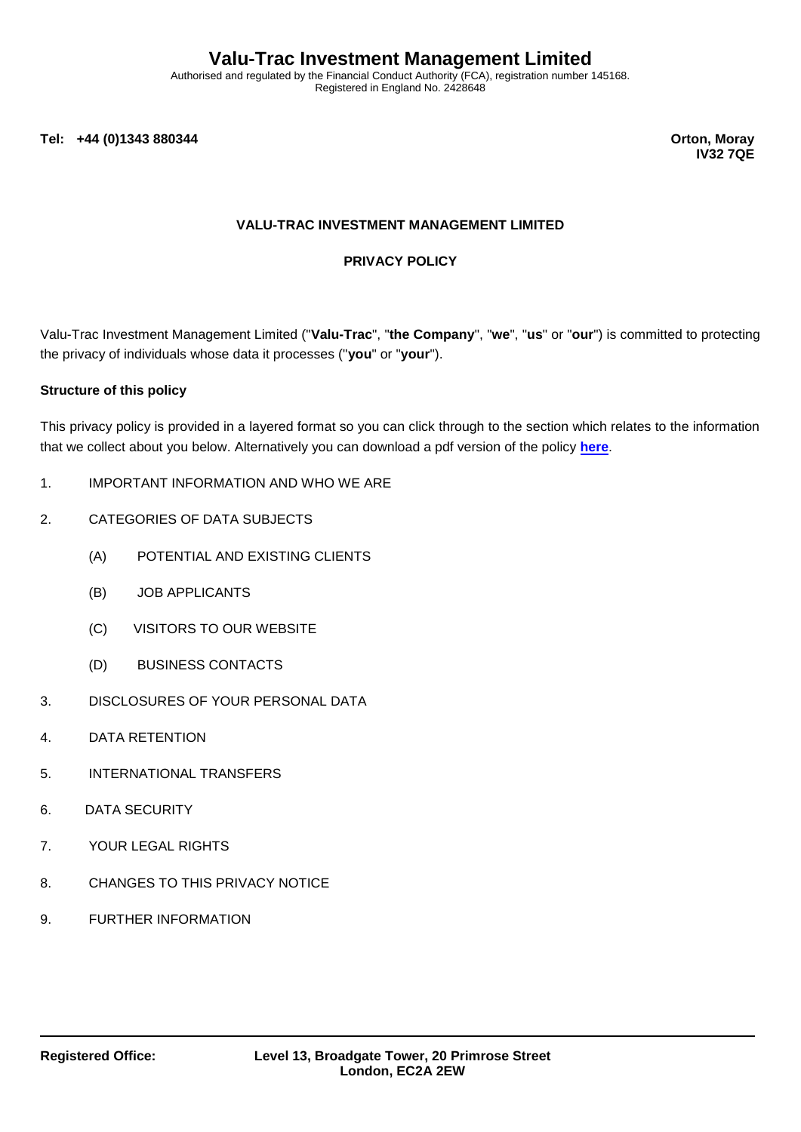Authorised and regulated by the Financial Conduct Authority (FCA), registration number 145168. Registered in England No. 2428648

**Tel: +44 (0)1343 880344 Orton, Moray**

**IV32 7QE**

### **VALU-TRAC INVESTMENT MANAGEMENT LIMITED**

#### **PRIVACY POLICY**

Valu-Trac Investment Management Limited ("**Valu-Trac**", "**the Company**", "**we**", "**us**" or "**our**") is committed to protecting the privacy of individuals whose data it processes ("**you**" or "**your**").

#### **Structure of this policy**

This privacy policy is provided in a layered format so you can click through to the section which relates to the information that we collect about you below. Alternatively you can download a pdf version of the policy **[here](https://www.valu-trac.com/privacy-policy/)**.

- 1. IMPORTANT INFORMATION AND WHO WE ARE
- 2. CATEGORIES OF DATA SUBJECTS
	- (A) POTENTIAL AND EXISTING CLIENTS
	- (B) JOB APPLICANTS
	- (C) VISITORS TO OUR WEBSITE
	- (D) BUSINESS CONTACTS
- 3. DISCLOSURES OF YOUR PERSONAL DATA
- 4. DATA RETENTION
- 5. INTERNATIONAL TRANSFERS
- 6. DATA SECURITY
- 7. YOUR LEGAL RIGHTS
- 8. CHANGES TO THIS PRIVACY NOTICE
- 9. FURTHER INFORMATION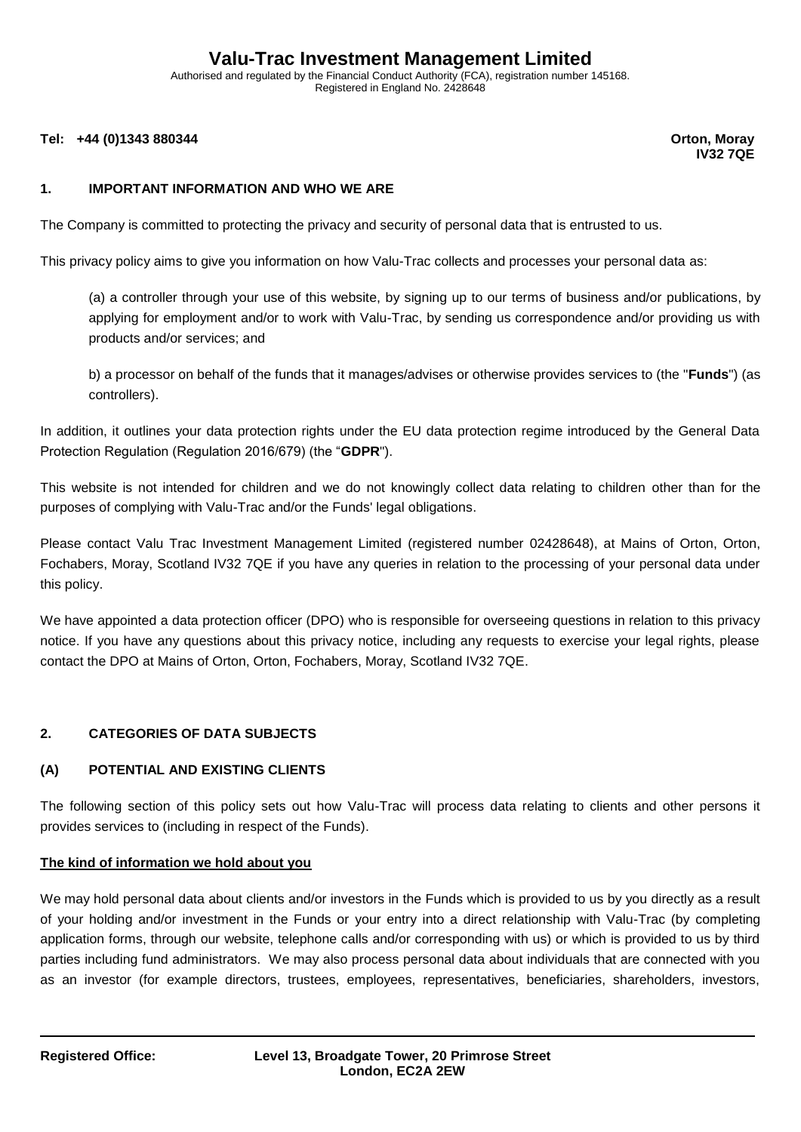Authorised and regulated by the Financial Conduct Authority (FCA), registration number 145168. Registered in England No. 2428648

**Tel: +44 (0)1343 880344 Orton, Moray**

**IV32 7QE**

### **1. IMPORTANT INFORMATION AND WHO WE ARE**

The Company is committed to protecting the privacy and security of personal data that is entrusted to us.

This privacy policy aims to give you information on how Valu-Trac collects and processes your personal data as:

(a) a controller through your use of this website, by signing up to our terms of business and/or publications, by applying for employment and/or to work with Valu-Trac, by sending us correspondence and/or providing us with products and/or services; and

b) a processor on behalf of the funds that it manages/advises or otherwise provides services to (the "**Funds**") (as controllers).

In addition, it outlines your data protection rights under the EU data protection regime introduced by the General Data Protection Regulation (Regulation 2016/679) (the "**GDPR**").

This website is not intended for children and we do not knowingly collect data relating to children other than for the purposes of complying with Valu-Trac and/or the Funds' legal obligations.

Please contact Valu Trac Investment Management Limited (registered number 02428648), at Mains of Orton, Orton, Fochabers, Moray, Scotland IV32 7QE if you have any queries in relation to the processing of your personal data under this policy.

We have appointed a data protection officer (DPO) who is responsible for overseeing questions in relation to this privacy notice. If you have any questions about this privacy notice, including any requests to exercise your legal rights, please contact the DPO at Mains of Orton, Orton, Fochabers, Moray, Scotland IV32 7QE.

#### **2. CATEGORIES OF DATA SUBJECTS**

#### **(A) POTENTIAL AND EXISTING CLIENTS**

The following section of this policy sets out how Valu-Trac will process data relating to clients and other persons it provides services to (including in respect of the Funds).

#### **The kind of information we hold about you**

We may hold personal data about clients and/or investors in the Funds which is provided to us by you directly as a result of your holding and/or investment in the Funds or your entry into a direct relationship with Valu-Trac (by completing application forms, through our website, telephone calls and/or corresponding with us) or which is provided to us by third parties including fund administrators. We may also process personal data about individuals that are connected with you as an investor (for example directors, trustees, employees, representatives, beneficiaries, shareholders, investors,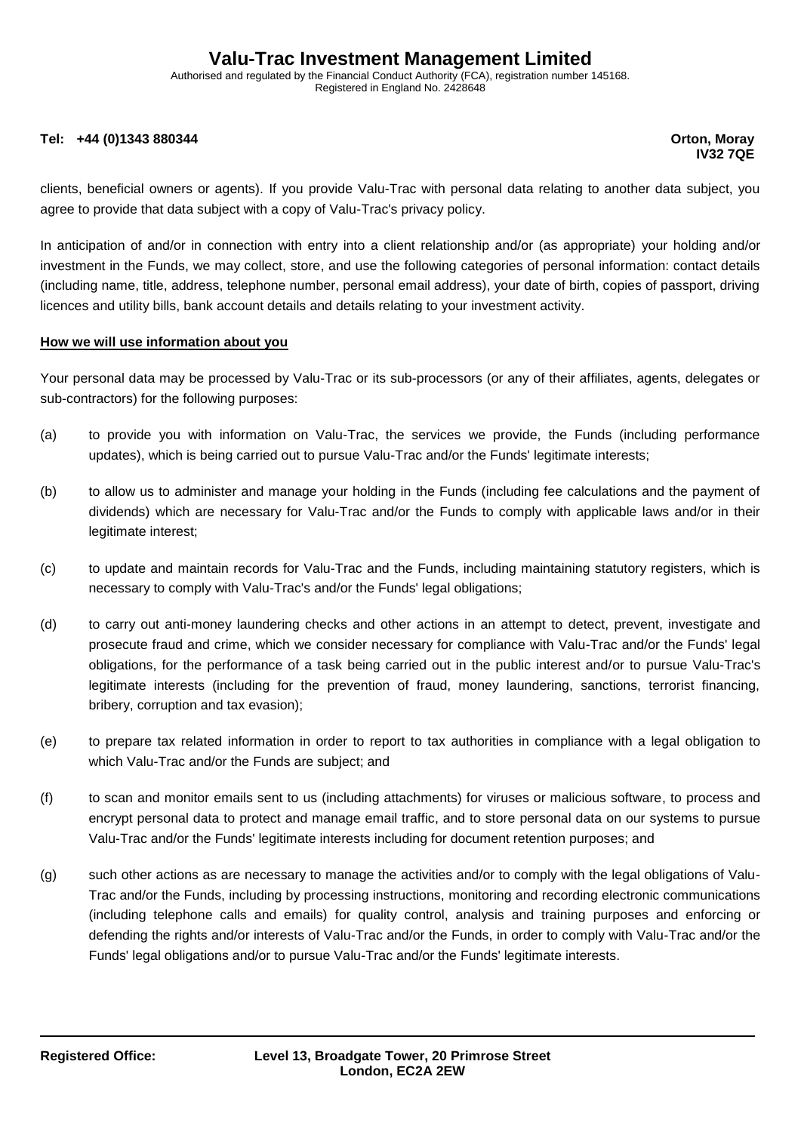Authorised and regulated by the Financial Conduct Authority (FCA), registration number 145168. Registered in England No. 2428648

#### **Tel: +44 (0)1343 880344 Orton, Moray**

**IV32 7QE**

clients, beneficial owners or agents). If you provide Valu-Trac with personal data relating to another data subject, you agree to provide that data subject with a copy of Valu-Trac's privacy policy.

In anticipation of and/or in connection with entry into a client relationship and/or (as appropriate) your holding and/or investment in the Funds, we may collect, store, and use the following categories of personal information: contact details (including name, title, address, telephone number, personal email address), your date of birth, copies of passport, driving licences and utility bills, bank account details and details relating to your investment activity.

#### **How we will use information about you**

Your personal data may be processed by Valu-Trac or its sub-processors (or any of their affiliates, agents, delegates or sub-contractors) for the following purposes:

- (a) to provide you with information on Valu-Trac, the services we provide, the Funds (including performance updates), which is being carried out to pursue Valu-Trac and/or the Funds' legitimate interests;
- (b) to allow us to administer and manage your holding in the Funds (including fee calculations and the payment of dividends) which are necessary for Valu-Trac and/or the Funds to comply with applicable laws and/or in their legitimate interest:
- (c) to update and maintain records for Valu-Trac and the Funds, including maintaining statutory registers, which is necessary to comply with Valu-Trac's and/or the Funds' legal obligations:
- (d) to carry out anti-money laundering checks and other actions in an attempt to detect, prevent, investigate and prosecute fraud and crime, which we consider necessary for compliance with Valu-Trac and/or the Funds' legal obligations, for the performance of a task being carried out in the public interest and/or to pursue Valu-Trac's legitimate interests (including for the prevention of fraud, money laundering, sanctions, terrorist financing, bribery, corruption and tax evasion);
- (e) to prepare tax related information in order to report to tax authorities in compliance with a legal obligation to which Valu-Trac and/or the Funds are subject; and
- (f) to scan and monitor emails sent to us (including attachments) for viruses or malicious software, to process and encrypt personal data to protect and manage email traffic, and to store personal data on our systems to pursue Valu-Trac and/or the Funds' legitimate interests including for document retention purposes; and
- (g) such other actions as are necessary to manage the activities and/or to comply with the legal obligations of Valu-Trac and/or the Funds, including by processing instructions, monitoring and recording electronic communications (including telephone calls and emails) for quality control, analysis and training purposes and enforcing or defending the rights and/or interests of Valu-Trac and/or the Funds, in order to comply with Valu-Trac and/or the Funds' legal obligations and/or to pursue Valu-Trac and/or the Funds' legitimate interests.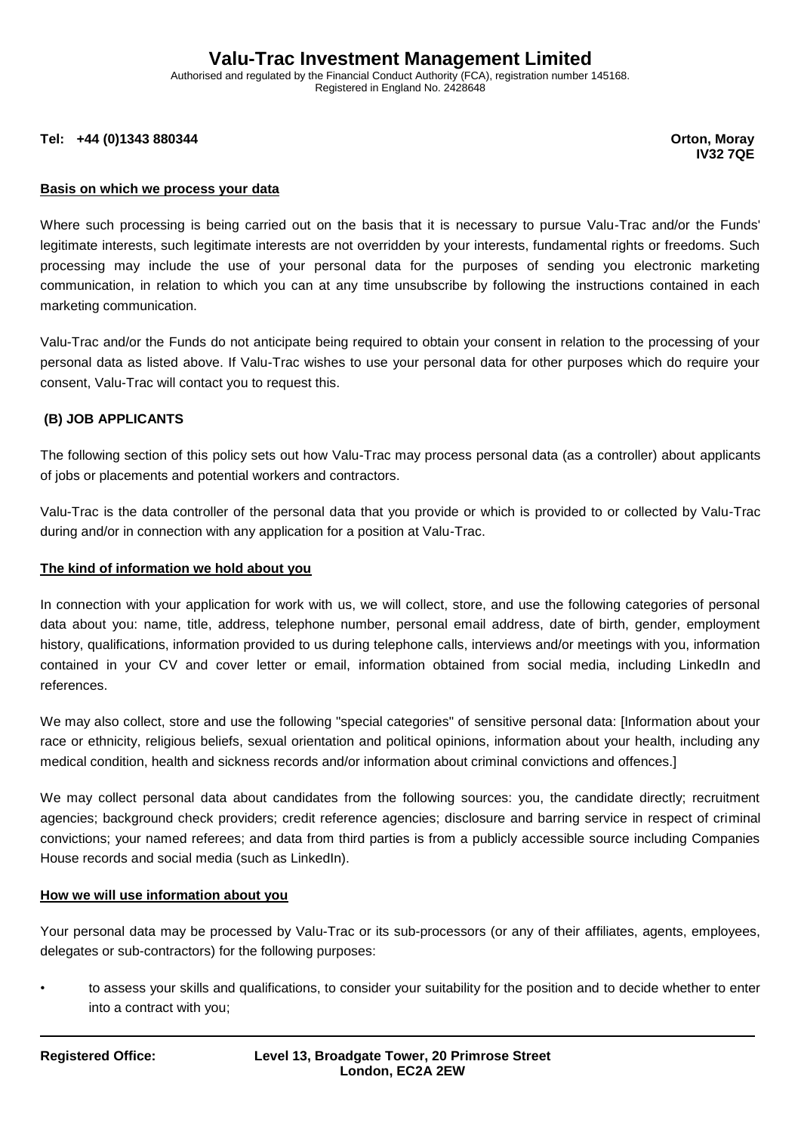Authorised and regulated by the Financial Conduct Authority (FCA), registration number 145168. Registered in England No. 2428648

**Tel: +44 (0)1343 880344 Orton, Moray**

**IV32 7QE**

#### **Basis on which we process your data**

Where such processing is being carried out on the basis that it is necessary to pursue Valu-Trac and/or the Funds' legitimate interests, such legitimate interests are not overridden by your interests, fundamental rights or freedoms. Such processing may include the use of your personal data for the purposes of sending you electronic marketing communication, in relation to which you can at any time unsubscribe by following the instructions contained in each marketing communication.

Valu-Trac and/or the Funds do not anticipate being required to obtain your consent in relation to the processing of your personal data as listed above. If Valu-Trac wishes to use your personal data for other purposes which do require your consent, Valu-Trac will contact you to request this.

#### **(B) JOB APPLICANTS**

The following section of this policy sets out how Valu-Trac may process personal data (as a controller) about applicants of jobs or placements and potential workers and contractors.

Valu-Trac is the data controller of the personal data that you provide or which is provided to or collected by Valu-Trac during and/or in connection with any application for a position at Valu-Trac.

#### **The kind of information we hold about you**

In connection with your application for work with us, we will collect, store, and use the following categories of personal data about you: name, title, address, telephone number, personal email address, date of birth, gender, employment history, qualifications, information provided to us during telephone calls, interviews and/or meetings with you, information contained in your CV and cover letter or email, information obtained from social media, including LinkedIn and references.

We may also collect, store and use the following "special categories" of sensitive personal data: [Information about your race or ethnicity, religious beliefs, sexual orientation and political opinions, information about your health, including any medical condition, health and sickness records and/or information about criminal convictions and offences.]

We may collect personal data about candidates from the following sources: you, the candidate directly; recruitment agencies; background check providers; credit reference agencies; disclosure and barring service in respect of criminal convictions; your named referees; and data from third parties is from a publicly accessible source including Companies House records and social media (such as LinkedIn).

#### **How we will use information about you**

Your personal data may be processed by Valu-Trac or its sub-processors (or any of their affiliates, agents, employees, delegates or sub-contractors) for the following purposes:

• to assess your skills and qualifications, to consider your suitability for the position and to decide whether to enter into a contract with you;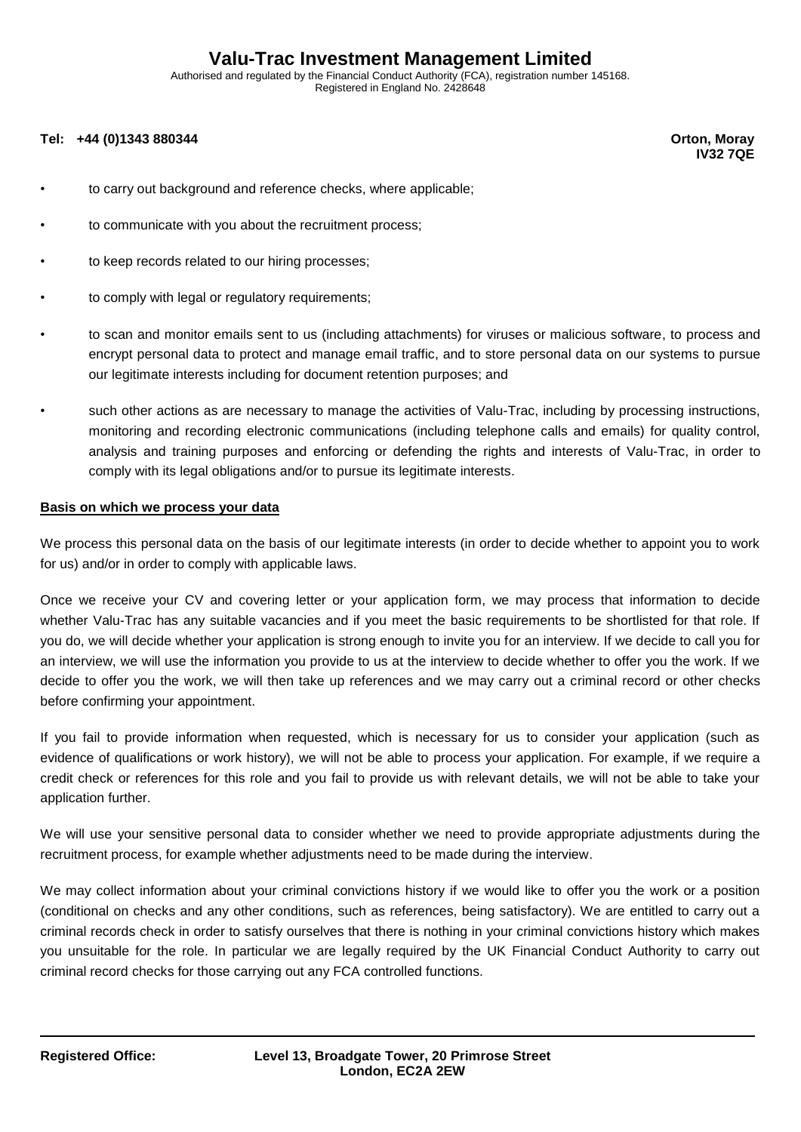Authorised and regulated by the Financial Conduct Authority (FCA), registration number 145168. Registered in England No. 2428648

#### **Tel: +44 (0)1343 880344 Orton, Moray**

**IV32 7QE**

- to carry out background and reference checks, where applicable;
- to communicate with you about the recruitment process;
- to keep records related to our hiring processes;
- to comply with legal or regulatory requirements;
- to scan and monitor emails sent to us (including attachments) for viruses or malicious software, to process and encrypt personal data to protect and manage email traffic, and to store personal data on our systems to pursue our legitimate interests including for document retention purposes; and
- such other actions as are necessary to manage the activities of Valu-Trac, including by processing instructions, monitoring and recording electronic communications (including telephone calls and emails) for quality control, analysis and training purposes and enforcing or defending the rights and interests of Valu-Trac, in order to comply with its legal obligations and/or to pursue its legitimate interests.

#### **Basis on which we process your data**

We process this personal data on the basis of our legitimate interests (in order to decide whether to appoint you to work for us) and/or in order to comply with applicable laws.

Once we receive your CV and covering letter or your application form, we may process that information to decide whether Valu-Trac has any suitable vacancies and if you meet the basic requirements to be shortlisted for that role. If you do, we will decide whether your application is strong enough to invite you for an interview. If we decide to call you for an interview, we will use the information you provide to us at the interview to decide whether to offer you the work. If we decide to offer you the work, we will then take up references and we may carry out a criminal record or other checks before confirming your appointment.

If you fail to provide information when requested, which is necessary for us to consider your application (such as evidence of qualifications or work history), we will not be able to process your application. For example, if we require a credit check or references for this role and you fail to provide us with relevant details, we will not be able to take your application further.

We will use your sensitive personal data to consider whether we need to provide appropriate adjustments during the recruitment process, for example whether adjustments need to be made during the interview.

We may collect information about your criminal convictions history if we would like to offer you the work or a position (conditional on checks and any other conditions, such as references, being satisfactory). We are entitled to carry out a criminal records check in order to satisfy ourselves that there is nothing in your criminal convictions history which makes you unsuitable for the role. In particular we are legally required by the UK Financial Conduct Authority to carry out criminal record checks for those carrying out any FCA controlled functions.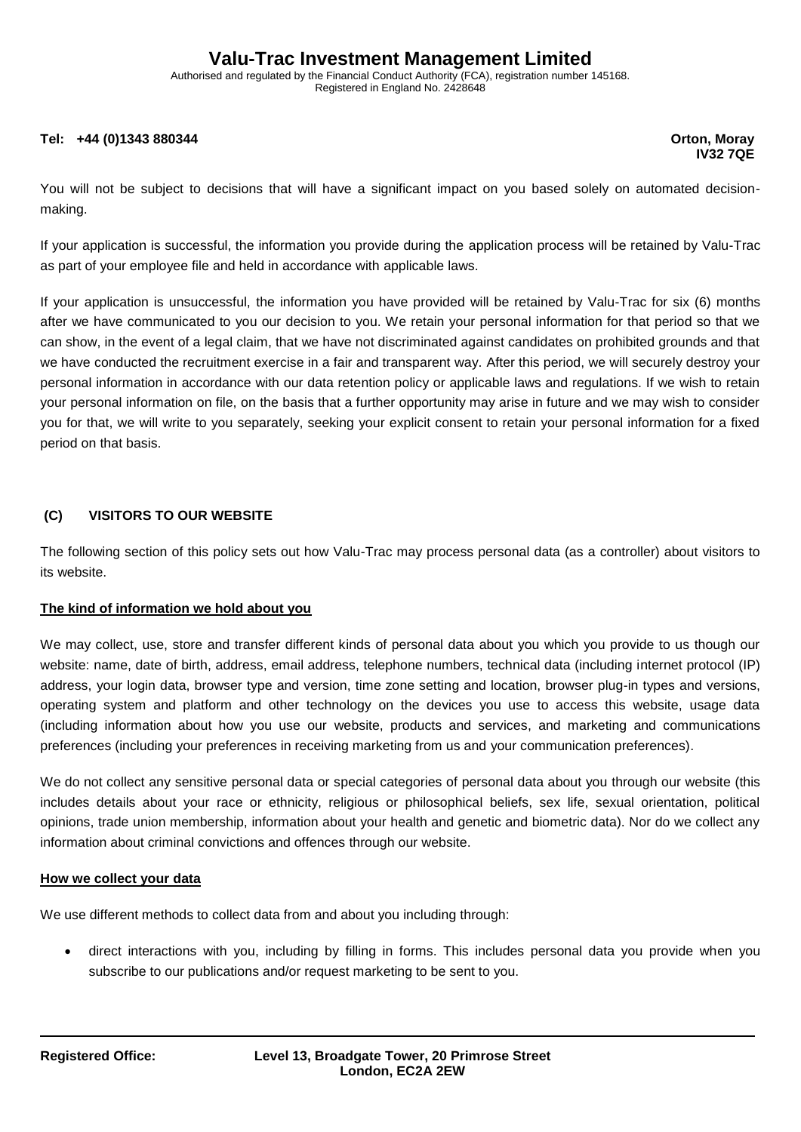Authorised and regulated by the Financial Conduct Authority (FCA), registration number 145168. Registered in England No. 2428648

#### **Tel: +44 (0)1343 880344 Orton, Moray**

**IV32 7QE**

You will not be subject to decisions that will have a significant impact on you based solely on automated decisionmaking.

If your application is successful, the information you provide during the application process will be retained by Valu-Trac as part of your employee file and held in accordance with applicable laws.

If your application is unsuccessful, the information you have provided will be retained by Valu-Trac for six (6) months after we have communicated to you our decision to you. We retain your personal information for that period so that we can show, in the event of a legal claim, that we have not discriminated against candidates on prohibited grounds and that we have conducted the recruitment exercise in a fair and transparent way. After this period, we will securely destroy your personal information in accordance with our data retention policy or applicable laws and regulations. If we wish to retain your personal information on file, on the basis that a further opportunity may arise in future and we may wish to consider you for that, we will write to you separately, seeking your explicit consent to retain your personal information for a fixed period on that basis.

## **(C) VISITORS TO OUR WEBSITE**

The following section of this policy sets out how Valu-Trac may process personal data (as a controller) about visitors to its website.

#### **The kind of information we hold about you**

We may collect, use, store and transfer different kinds of personal data about you which you provide to us though our website: name, date of birth, address, email address, telephone numbers, technical data (including internet protocol (IP) address, your login data, browser type and version, time zone setting and location, browser plug-in types and versions, operating system and platform and other technology on the devices you use to access this website, usage data (including information about how you use our website, products and services, and marketing and communications preferences (including your preferences in receiving marketing from us and your communication preferences).

We do not collect any sensitive personal data or special categories of personal data about you through our website (this includes details about your race or ethnicity, religious or philosophical beliefs, sex life, sexual orientation, political opinions, trade union membership, information about your health and genetic and biometric data). Nor do we collect any information about criminal convictions and offences through our website.

#### **How we collect your data**

We use different methods to collect data from and about you including through:

• direct interactions with you, including by filling in forms. This includes personal data you provide when you subscribe to our publications and/or request marketing to be sent to you.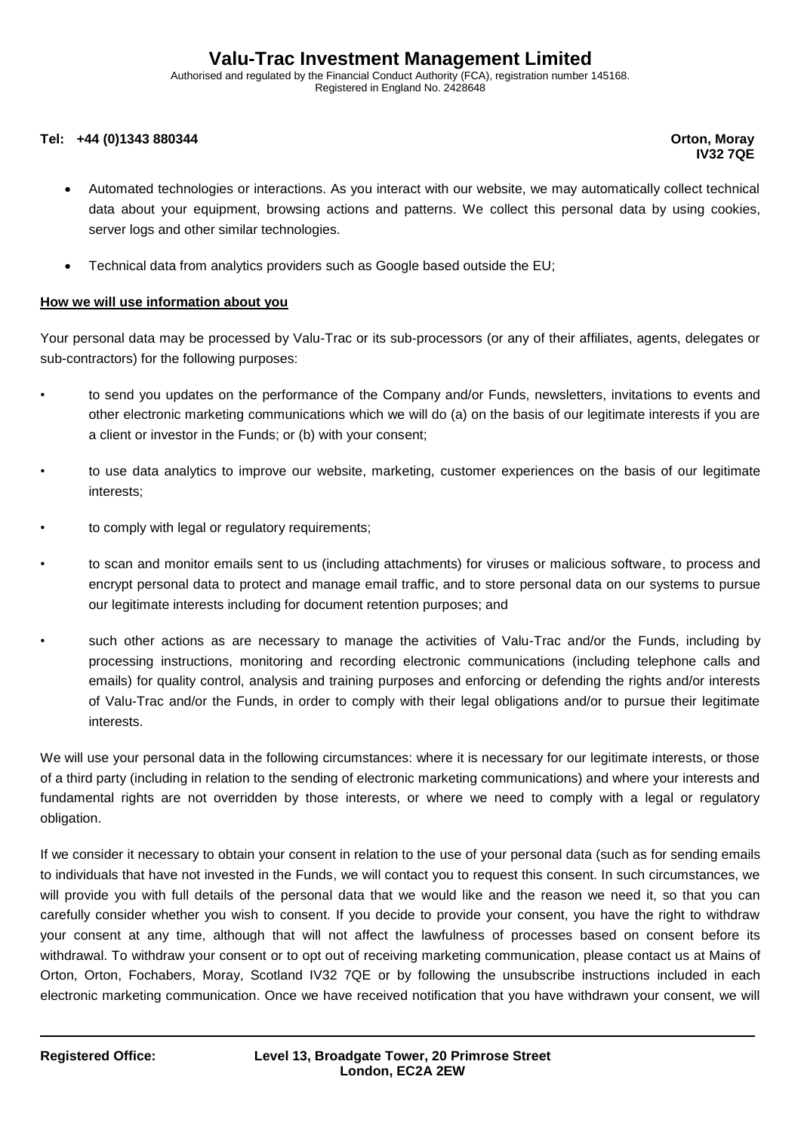Authorised and regulated by the Financial Conduct Authority (FCA), registration number 145168. Registered in England No. 2428648

#### **Tel: +44 (0)1343 880344 Orton, Moray**

**IV32 7QE**

- Automated technologies or interactions. As you interact with our website, we may automatically collect technical data about your equipment, browsing actions and patterns. We collect this personal data by using cookies, server logs and other similar technologies.
- Technical data from analytics providers such as Google based outside the EU;

#### **How we will use information about you**

Your personal data may be processed by Valu-Trac or its sub-processors (or any of their affiliates, agents, delegates or sub-contractors) for the following purposes:

- to send you updates on the performance of the Company and/or Funds, newsletters, invitations to events and other electronic marketing communications which we will do (a) on the basis of our legitimate interests if you are a client or investor in the Funds; or (b) with your consent;
- to use data analytics to improve our website, marketing, customer experiences on the basis of our legitimate interests;
- to comply with legal or regulatory requirements;
- to scan and monitor emails sent to us (including attachments) for viruses or malicious software, to process and encrypt personal data to protect and manage email traffic, and to store personal data on our systems to pursue our legitimate interests including for document retention purposes; and
- such other actions as are necessary to manage the activities of Valu-Trac and/or the Funds, including by processing instructions, monitoring and recording electronic communications (including telephone calls and emails) for quality control, analysis and training purposes and enforcing or defending the rights and/or interests of Valu-Trac and/or the Funds, in order to comply with their legal obligations and/or to pursue their legitimate interests.

We will use your personal data in the following circumstances: where it is necessary for our legitimate interests, or those of a third party (including in relation to the sending of electronic marketing communications) and where your interests and fundamental rights are not overridden by those interests, or where we need to comply with a legal or regulatory obligation.

If we consider it necessary to obtain your consent in relation to the use of your personal data (such as for sending emails to individuals that have not invested in the Funds, we will contact you to request this consent. In such circumstances, we will provide you with full details of the personal data that we would like and the reason we need it, so that you can carefully consider whether you wish to consent. If you decide to provide your consent, you have the right to withdraw your consent at any time, although that will not affect the lawfulness of processes based on consent before its withdrawal. To withdraw your consent or to opt out of receiving marketing communication, please contact us at Mains of Orton, Orton, Fochabers, Moray, Scotland IV32 7QE or by following the unsubscribe instructions included in each electronic marketing communication. Once we have received notification that you have withdrawn your consent, we will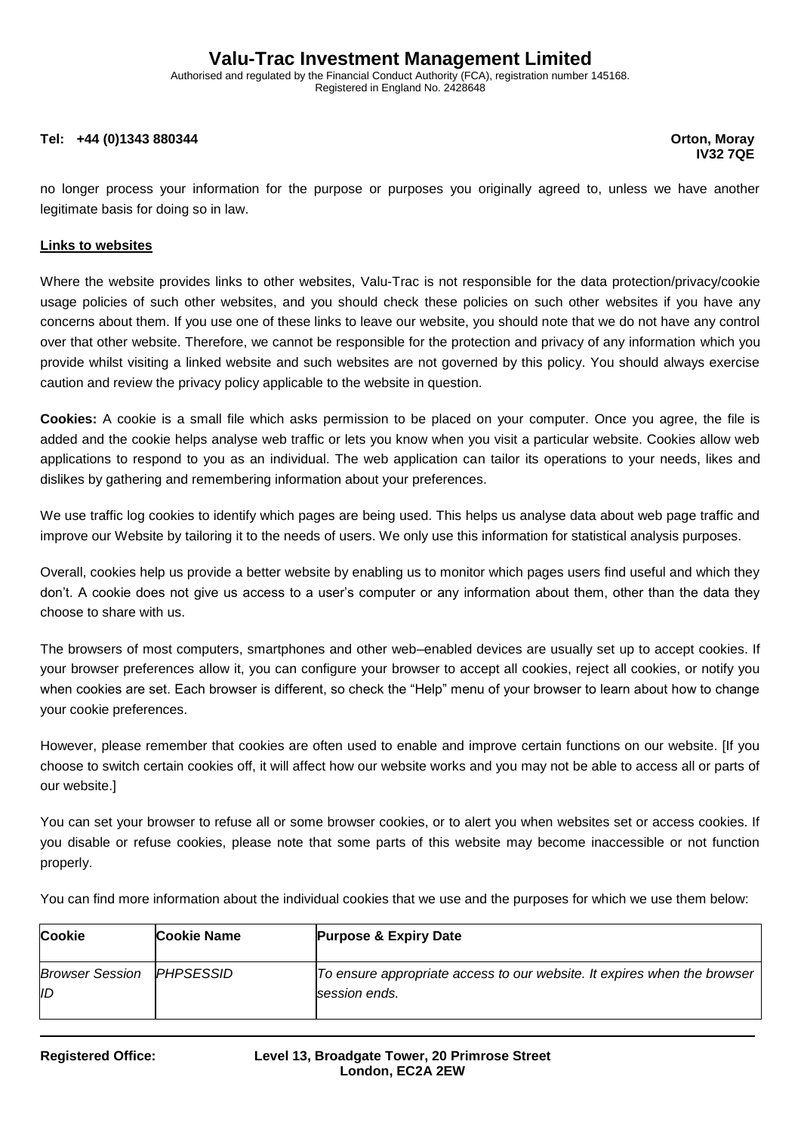Authorised and regulated by the Financial Conduct Authority (FCA), registration number 145168. Registered in England No. 2428648

#### **Tel: +44 (0)1343 880344 Orton, Moray**

**IV32 7QE**

no longer process your information for the purpose or purposes you originally agreed to, unless we have another legitimate basis for doing so in law.

#### **Links to websites**

Where the website provides links to other websites, Valu-Trac is not responsible for the data protection/privacy/cookie usage policies of such other websites, and you should check these policies on such other websites if you have any concerns about them. If you use one of these links to leave our website, you should note that we do not have any control over that other website. Therefore, we cannot be responsible for the protection and privacy of any information which you provide whilst visiting a linked website and such websites are not governed by this policy. You should always exercise caution and review the privacy policy applicable to the website in question.

**Cookies:** A cookie is a small file which asks permission to be placed on your computer. Once you agree, the file is added and the cookie helps analyse web traffic or lets you know when you visit a particular website. Cookies allow web applications to respond to you as an individual. The web application can tailor its operations to your needs, likes and dislikes by gathering and remembering information about your preferences.

We use traffic log cookies to identify which pages are being used. This helps us analyse data about web page traffic and improve our Website by tailoring it to the needs of users. We only use this information for statistical analysis purposes.

Overall, cookies help us provide a better website by enabling us to monitor which pages users find useful and which they don't. A cookie does not give us access to a user's computer or any information about them, other than the data they choose to share with us.

The browsers of most computers, smartphones and other web–enabled devices are usually set up to accept cookies. If your browser preferences allow it, you can configure your browser to accept all cookies, reject all cookies, or notify you when cookies are set. Each browser is different, so check the "Help" menu of your browser to learn about how to change your cookie preferences.

However, please remember that cookies are often used to enable and improve certain functions on our website. [If you choose to switch certain cookies off, it will affect how our website works and you may not be able to access all or parts of our website.]

You can set your browser to refuse all or some browser cookies, or to alert you when websites set or access cookies. If you disable or refuse cookies, please note that some parts of this website may become inaccessible or not function properly.

You can find more information about the individual cookies that we use and the purposes for which we use them below:

| <b>Cookie</b>                | <b>Cookie Name</b>       | <b>Purpose &amp; Expiry Date</b>                                                          |
|------------------------------|--------------------------|-------------------------------------------------------------------------------------------|
| <b>Browser Session</b><br>ID | <i><b>IPHPSESSID</b></i> | To ensure appropriate access to our website. It expires when the browser<br>session ends. |
|                              |                          |                                                                                           |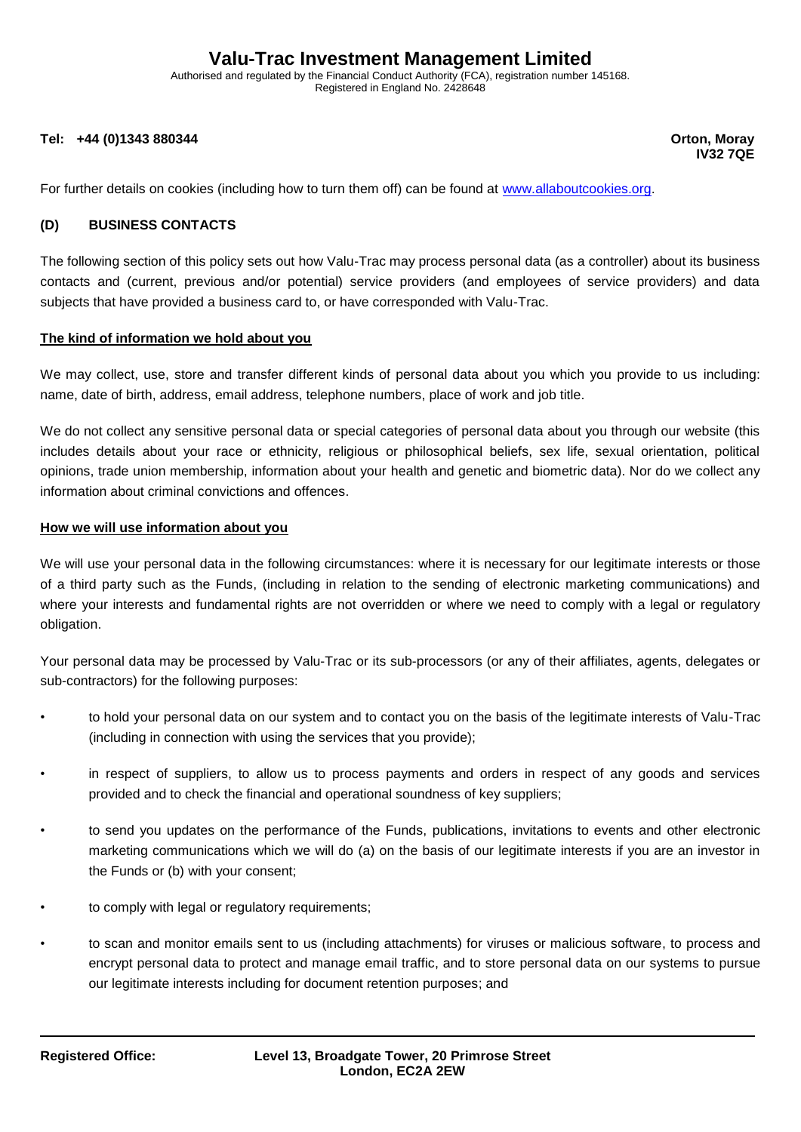Authorised and regulated by the Financial Conduct Authority (FCA), registration number 145168. Registered in England No. 2428648

#### **Tel: +44 (0)1343 880344 Orton, Moray**

**IV32 7QE**

For further details on cookies (including how to turn them off) can be found at [www.allaboutcookies.org.](http://www.allaboutcookies.org/)

#### **(D) BUSINESS CONTACTS**

The following section of this policy sets out how Valu-Trac may process personal data (as a controller) about its business contacts and (current, previous and/or potential) service providers (and employees of service providers) and data subjects that have provided a business card to, or have corresponded with Valu-Trac.

#### **The kind of information we hold about you**

We may collect, use, store and transfer different kinds of personal data about you which you provide to us including: name, date of birth, address, email address, telephone numbers, place of work and job title.

We do not collect any sensitive personal data or special categories of personal data about you through our website (this includes details about your race or ethnicity, religious or philosophical beliefs, sex life, sexual orientation, political opinions, trade union membership, information about your health and genetic and biometric data). Nor do we collect any information about criminal convictions and offences.

#### **How we will use information about you**

We will use your personal data in the following circumstances: where it is necessary for our legitimate interests or those of a third party such as the Funds, (including in relation to the sending of electronic marketing communications) and where your interests and fundamental rights are not overridden or where we need to comply with a legal or regulatory obligation.

Your personal data may be processed by Valu-Trac or its sub-processors (or any of their affiliates, agents, delegates or sub-contractors) for the following purposes:

- to hold your personal data on our system and to contact you on the basis of the legitimate interests of Valu-Trac (including in connection with using the services that you provide);
- in respect of suppliers, to allow us to process payments and orders in respect of any goods and services provided and to check the financial and operational soundness of key suppliers;
- to send you updates on the performance of the Funds, publications, invitations to events and other electronic marketing communications which we will do (a) on the basis of our legitimate interests if you are an investor in the Funds or (b) with your consent;
- to comply with legal or regulatory requirements;
- to scan and monitor emails sent to us (including attachments) for viruses or malicious software, to process and encrypt personal data to protect and manage email traffic, and to store personal data on our systems to pursue our legitimate interests including for document retention purposes; and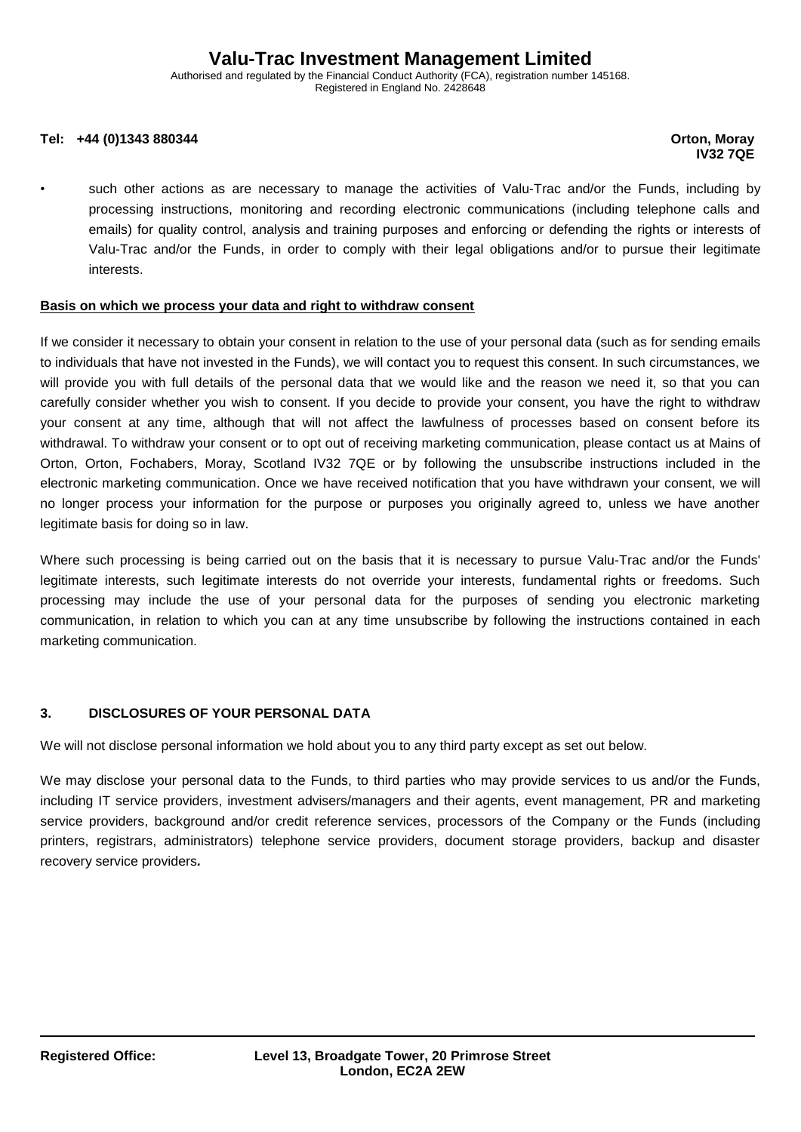Authorised and regulated by the Financial Conduct Authority (FCA), registration number 145168. Registered in England No. 2428648

#### **Tel: +44 (0)1343 880344 Orton, Moray**

# **IV32 7QE**

such other actions as are necessary to manage the activities of Valu-Trac and/or the Funds, including by processing instructions, monitoring and recording electronic communications (including telephone calls and emails) for quality control, analysis and training purposes and enforcing or defending the rights or interests of Valu-Trac and/or the Funds, in order to comply with their legal obligations and/or to pursue their legitimate interests.

#### **Basis on which we process your data and right to withdraw consent**

If we consider it necessary to obtain your consent in relation to the use of your personal data (such as for sending emails to individuals that have not invested in the Funds), we will contact you to request this consent. In such circumstances, we will provide you with full details of the personal data that we would like and the reason we need it, so that you can carefully consider whether you wish to consent. If you decide to provide your consent, you have the right to withdraw your consent at any time, although that will not affect the lawfulness of processes based on consent before its withdrawal. To withdraw your consent or to opt out of receiving marketing communication, please contact us at Mains of Orton, Orton, Fochabers, Moray, Scotland IV32 7QE or by following the unsubscribe instructions included in the electronic marketing communication. Once we have received notification that you have withdrawn your consent, we will no longer process your information for the purpose or purposes you originally agreed to, unless we have another legitimate basis for doing so in law.

Where such processing is being carried out on the basis that it is necessary to pursue Valu-Trac and/or the Funds' legitimate interests, such legitimate interests do not override your interests, fundamental rights or freedoms. Such processing may include the use of your personal data for the purposes of sending you electronic marketing communication, in relation to which you can at any time unsubscribe by following the instructions contained in each marketing communication.

#### **3. DISCLOSURES OF YOUR PERSONAL DATA**

We will not disclose personal information we hold about you to any third party except as set out below.

We may disclose your personal data to the Funds, to third parties who may provide services to us and/or the Funds, including IT service providers, investment advisers/managers and their agents, event management, PR and marketing service providers, background and/or credit reference services, processors of the Company or the Funds (including printers, registrars, administrators) telephone service providers, document storage providers, backup and disaster recovery service providers*.*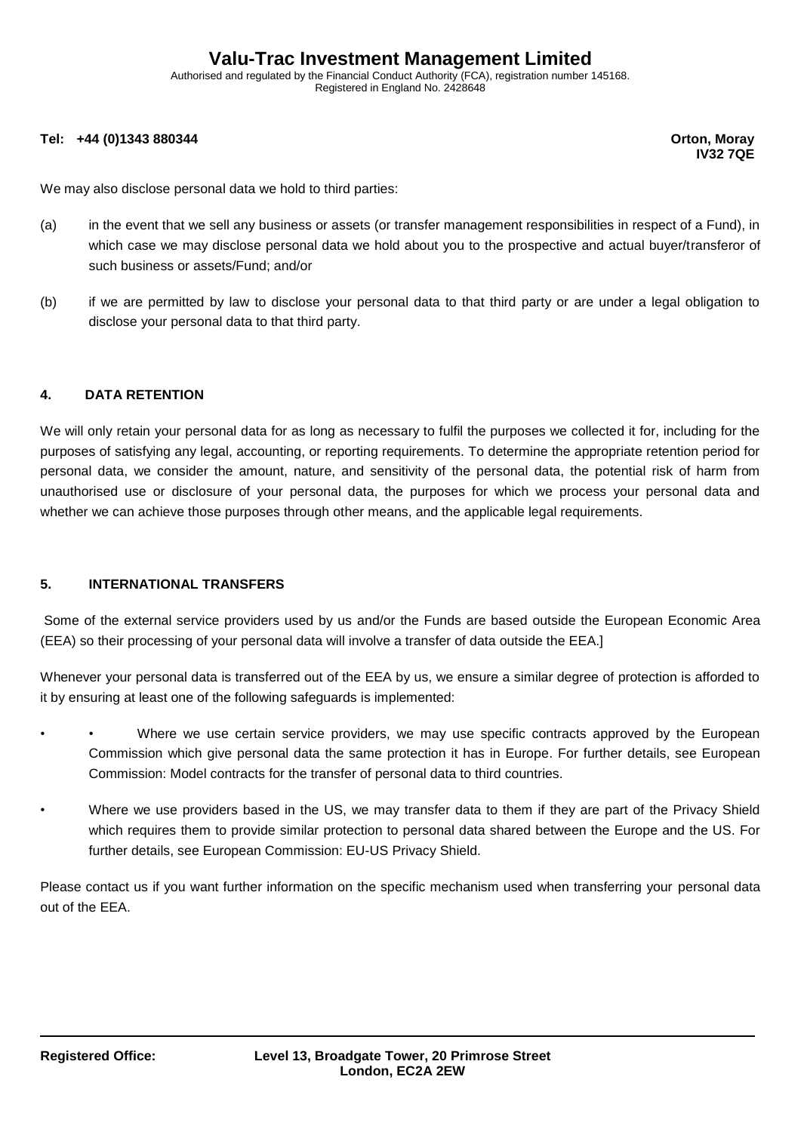Authorised and regulated by the Financial Conduct Authority (FCA), registration number 145168. Registered in England No. 2428648

#### **Tel: +44 (0)1343 880344 Orton, Moray**

**IV32 7QE**

We may also disclose personal data we hold to third parties:

- (a) in the event that we sell any business or assets (or transfer management responsibilities in respect of a Fund), in which case we may disclose personal data we hold about you to the prospective and actual buyer/transferor of such business or assets/Fund; and/or
- (b) if we are permitted by law to disclose your personal data to that third party or are under a legal obligation to disclose your personal data to that third party.

#### **4. DATA RETENTION**

We will only retain your personal data for as long as necessary to fulfil the purposes we collected it for, including for the purposes of satisfying any legal, accounting, or reporting requirements. To determine the appropriate retention period for personal data, we consider the amount, nature, and sensitivity of the personal data, the potential risk of harm from unauthorised use or disclosure of your personal data, the purposes for which we process your personal data and whether we can achieve those purposes through other means, and the applicable legal requirements.

#### **5. INTERNATIONAL TRANSFERS**

Some of the external service providers used by us and/or the Funds are based outside the European Economic Area (EEA) so their processing of your personal data will involve a transfer of data outside the EEA.]

Whenever your personal data is transferred out of the EEA by us, we ensure a similar degree of protection is afforded to it by ensuring at least one of the following safeguards is implemented:

- Where we use certain service providers, we may use specific contracts approved by the European Commission which give personal data the same protection it has in Europe. For further details, see European Commission: Model contracts for the transfer of personal data to third countries.
- Where we use providers based in the US, we may transfer data to them if they are part of the Privacy Shield which requires them to provide similar protection to personal data shared between the Europe and the US. For further details, see European Commission: EU-US Privacy Shield.

Please contact us if you want further information on the specific mechanism used when transferring your personal data out of the EEA.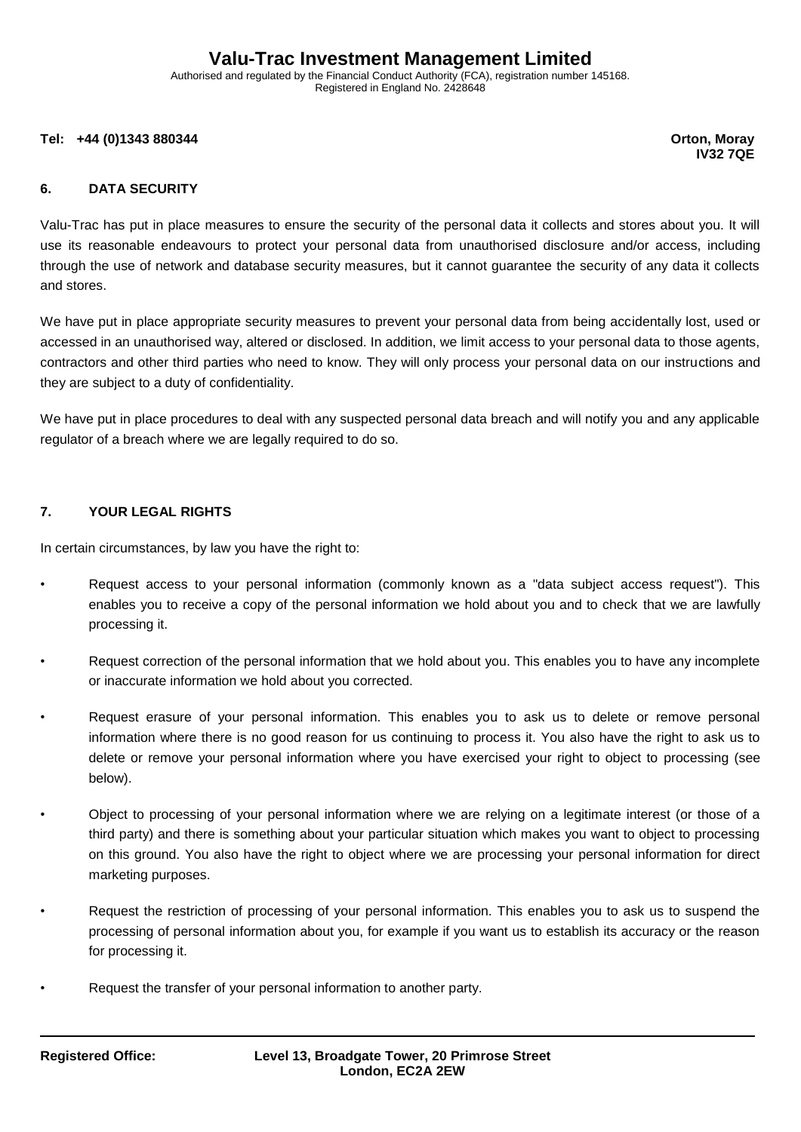Authorised and regulated by the Financial Conduct Authority (FCA), registration number 145168. Registered in England No. 2428648

**Tel: +44 (0)1343 880344 Orton, Moray**

**IV32 7QE**

### **6. DATA SECURITY**

Valu-Trac has put in place measures to ensure the security of the personal data it collects and stores about you. It will use its reasonable endeavours to protect your personal data from unauthorised disclosure and/or access, including through the use of network and database security measures, but it cannot guarantee the security of any data it collects and stores.

We have put in place appropriate security measures to prevent your personal data from being accidentally lost, used or accessed in an unauthorised way, altered or disclosed. In addition, we limit access to your personal data to those agents, contractors and other third parties who need to know. They will only process your personal data on our instructions and they are subject to a duty of confidentiality.

We have put in place procedures to deal with any suspected personal data breach and will notify you and any applicable regulator of a breach where we are legally required to do so.

#### **7. YOUR LEGAL RIGHTS**

In certain circumstances, by law you have the right to:

- Request access to your personal information (commonly known as a "data subject access request"). This enables you to receive a copy of the personal information we hold about you and to check that we are lawfully processing it.
- Request correction of the personal information that we hold about you. This enables you to have any incomplete or inaccurate information we hold about you corrected.
- Request erasure of your personal information. This enables you to ask us to delete or remove personal information where there is no good reason for us continuing to process it. You also have the right to ask us to delete or remove your personal information where you have exercised your right to object to processing (see below).
- Object to processing of your personal information where we are relying on a legitimate interest (or those of a third party) and there is something about your particular situation which makes you want to object to processing on this ground. You also have the right to object where we are processing your personal information for direct marketing purposes.
- Request the restriction of processing of your personal information. This enables you to ask us to suspend the processing of personal information about you, for example if you want us to establish its accuracy or the reason for processing it.
- Request the transfer of your personal information to another party.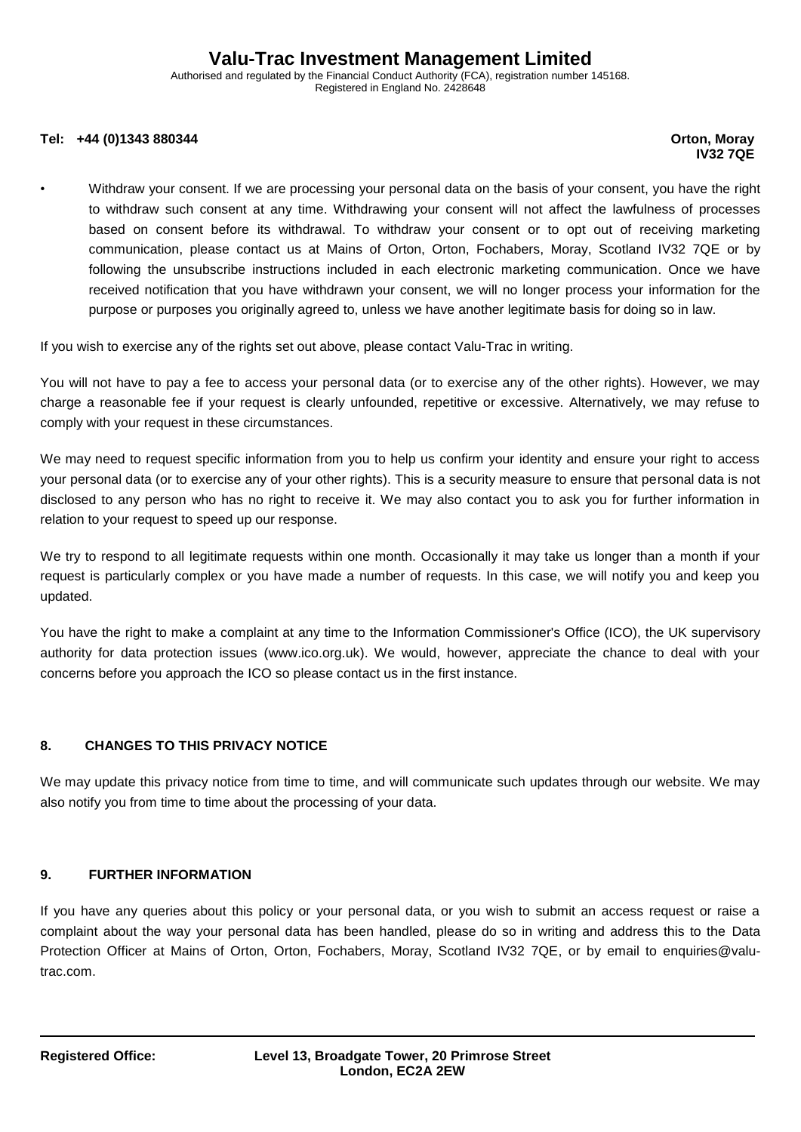Authorised and regulated by the Financial Conduct Authority (FCA), registration number 145168. Registered in England No. 2428648

#### **Tel: +44 (0)1343 880344 Orton, Moray**

# **IV32 7QE**

• Withdraw your consent. If we are processing your personal data on the basis of your consent, you have the right to withdraw such consent at any time. Withdrawing your consent will not affect the lawfulness of processes based on consent before its withdrawal. To withdraw your consent or to opt out of receiving marketing communication, please contact us at Mains of Orton, Orton, Fochabers, Moray, Scotland IV32 7QE or by following the unsubscribe instructions included in each electronic marketing communication. Once we have received notification that you have withdrawn your consent, we will no longer process your information for the purpose or purposes you originally agreed to, unless we have another legitimate basis for doing so in law.

If you wish to exercise any of the rights set out above, please contact Valu-Trac in writing.

You will not have to pay a fee to access your personal data (or to exercise any of the other rights). However, we may charge a reasonable fee if your request is clearly unfounded, repetitive or excessive. Alternatively, we may refuse to comply with your request in these circumstances.

We may need to request specific information from you to help us confirm your identity and ensure your right to access your personal data (or to exercise any of your other rights). This is a security measure to ensure that personal data is not disclosed to any person who has no right to receive it. We may also contact you to ask you for further information in relation to your request to speed up our response.

We try to respond to all legitimate requests within one month. Occasionally it may take us longer than a month if your request is particularly complex or you have made a number of requests. In this case, we will notify you and keep you updated.

You have the right to make a complaint at any time to the Information Commissioner's Office (ICO), the UK supervisory authority for data protection issues (www.ico.org.uk). We would, however, appreciate the chance to deal with your concerns before you approach the ICO so please contact us in the first instance.

## **8. CHANGES TO THIS PRIVACY NOTICE**

We may update this privacy notice from time to time, and will communicate such updates through our website. We may also notify you from time to time about the processing of your data.

#### **9. FURTHER INFORMATION**

If you have any queries about this policy or your personal data, or you wish to submit an access request or raise a complaint about the way your personal data has been handled, please do so in writing and address this to the Data Protection Officer at Mains of Orton, Orton, Fochabers, Moray, Scotland IV32 7QE, or by email to enquiries@valutrac.com.